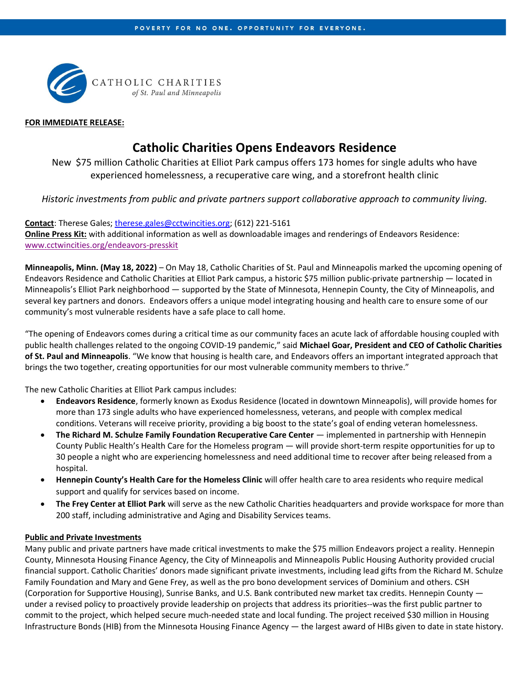

#### FOR IMMEDIATE RELEASE:

# Catholic Charities Opens Endeavors Residence

New \$75 million Catholic Charities at Elliot Park campus offers 173 homes for single adults who have experienced homelessness, a recuperative care wing, and a storefront health clinic

Historic investments from public and private partners support collaborative approach to community living.

## Contact: Therese Gales; therese.gales@cctwincities.org; (612) 221-5161

Online Press Kit: with additional information as well as downloadable images and renderings of Endeavors Residence: www.cctwincities.org/endeavors-presskit

Minneapolis, Minn. (May 18, 2022) – On May 18, Catholic Charities of St. Paul and Minneapolis marked the upcoming opening of Endeavors Residence and Catholic Charities at Elliot Park campus, a historic \$75 million public-private partnership — located in Minneapolis's Elliot Park neighborhood — supported by the State of Minnesota, Hennepin County, the City of Minneapolis, and several key partners and donors. Endeavors offers a unique model integrating housing and health care to ensure some of our community's most vulnerable residents have a safe place to call home.

"The opening of Endeavors comes during a critical time as our community faces an acute lack of affordable housing coupled with public health challenges related to the ongoing COVID-19 pandemic," said Michael Goar, President and CEO of Catholic Charities of St. Paul and Minneapolis. "We know that housing is health care, and Endeavors offers an important integrated approach that brings the two together, creating opportunities for our most vulnerable community members to thrive."

The new Catholic Charities at Elliot Park campus includes:

- Endeavors Residence, formerly known as Exodus Residence (located in downtown Minneapolis), will provide homes for more than 173 single adults who have experienced homelessness, veterans, and people with complex medical conditions. Veterans will receive priority, providing a big boost to the state's goal of ending veteran homelessness.
- The Richard M. Schulze Family Foundation Recuperative Care Center implemented in partnership with Hennepin County Public Health's Health Care for the Homeless program — will provide short-term respite opportunities for up to 30 people a night who are experiencing homelessness and need additional time to recover after being released from a hospital.
- Hennepin County's Health Care for the Homeless Clinic will offer health care to area residents who require medical support and qualify for services based on income.
- The Frey Center at Elliot Park will serve as the new Catholic Charities headquarters and provide workspace for more than 200 staff, including administrative and Aging and Disability Services teams.

### Public and Private Investments

Many public and private partners have made critical investments to make the \$75 million Endeavors project a reality. Hennepin County, Minnesota Housing Finance Agency, the City of Minneapolis and Minneapolis Public Housing Authority provided crucial financial support. Catholic Charities' donors made significant private investments, including lead gifts from the Richard M. Schulze Family Foundation and Mary and Gene Frey, as well as the pro bono development services of Dominium and others. CSH (Corporation for Supportive Housing), Sunrise Banks, and U.S. Bank contributed new market tax credits. Hennepin County under a revised policy to proactively provide leadership on projects that address its priorities--was the first public partner to commit to the project, which helped secure much-needed state and local funding. The project received \$30 million in Housing Infrastructure Bonds (HIB) from the Minnesota Housing Finance Agency — the largest award of HIBs given to date in state history.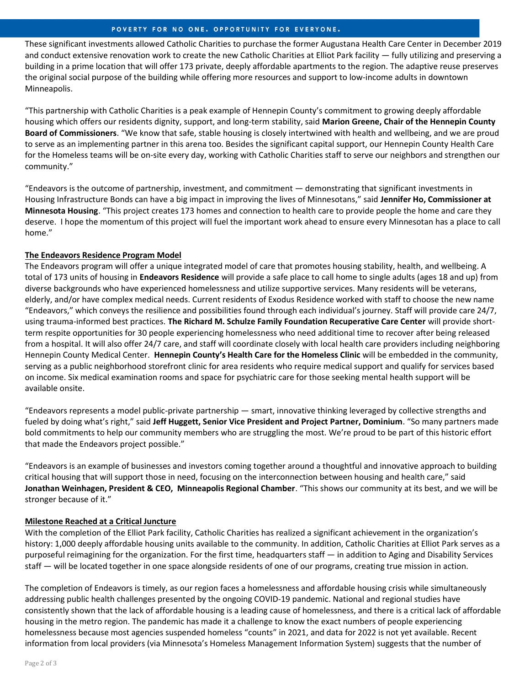# POVERTY FOR NO ONE. OPPORTUNITY FOR EVERYONE.

These significant investments allowed Catholic Charities to purchase the former Augustana Health Care Center in December 2019 and conduct extensive renovation work to create the new Catholic Charities at Elliot Park facility — fully utilizing and preserving a building in a prime location that will offer 173 private, deeply affordable apartments to the region. The adaptive reuse preserves the original social purpose of the building while offering more resources and support to low-income adults in downtown Minneapolis.

"This partnership with Catholic Charities is a peak example of Hennepin County's commitment to growing deeply affordable housing which offers our residents dignity, support, and long-term stability, said Marion Greene, Chair of the Hennepin County Board of Commissioners. "We know that safe, stable housing is closely intertwined with health and wellbeing, and we are proud to serve as an implementing partner in this arena too. Besides the significant capital support, our Hennepin County Health Care for the Homeless teams will be on-site every day, working with Catholic Charities staff to serve our neighbors and strengthen our community."

"Endeavors is the outcome of partnership, investment, and commitment — demonstrating that significant investments in Housing Infrastructure Bonds can have a big impact in improving the lives of Minnesotans," said Jennifer Ho, Commissioner at Minnesota Housing. "This project creates 173 homes and connection to health care to provide people the home and care they deserve. I hope the momentum of this project will fuel the important work ahead to ensure every Minnesotan has a place to call home."

# The Endeavors Residence Program Model

The Endeavors program will offer a unique integrated model of care that promotes housing stability, health, and wellbeing. A total of 173 units of housing in **Endeavors Residence** will provide a safe place to call home to single adults (ages 18 and up) from diverse backgrounds who have experienced homelessness and utilize supportive services. Many residents will be veterans, elderly, and/or have complex medical needs. Current residents of Exodus Residence worked with staff to choose the new name "Endeavors," which conveys the resilience and possibilities found through each individual's journey. Staff will provide care 24/7, using trauma-informed best practices. The Richard M. Schulze Family Foundation Recuperative Care Center will provide shortterm respite opportunities for 30 people experiencing homelessness who need additional time to recover after being released from a hospital. It will also offer 24/7 care, and staff will coordinate closely with local health care providers including neighboring Hennepin County Medical Center. Hennepin County's Health Care for the Homeless Clinic will be embedded in the community, serving as a public neighborhood storefront clinic for area residents who require medical support and qualify for services based on income. Six medical examination rooms and space for psychiatric care for those seeking mental health support will be available onsite.

"Endeavors represents a model public-private partnership — smart, innovative thinking leveraged by collective strengths and fueled by doing what's right," said Jeff Huggett, Senior Vice President and Project Partner, Dominium. "So many partners made bold commitments to help our community members who are struggling the most. We're proud to be part of this historic effort that made the Endeavors project possible."

"Endeavors is an example of businesses and investors coming together around a thoughtful and innovative approach to building critical housing that will support those in need, focusing on the interconnection between housing and health care," said Jonathan Weinhagen, President & CEO, Minneapolis Regional Chamber. "This shows our community at its best, and we will be stronger because of it."

# Milestone Reached at a Critical Juncture

With the completion of the Elliot Park facility, Catholic Charities has realized a significant achievement in the organization's history: 1,000 deeply affordable housing units available to the community. In addition, Catholic Charities at Elliot Park serves as a purposeful reimagining for the organization. For the first time, headquarters staff — in addition to Aging and Disability Services staff — will be located together in one space alongside residents of one of our programs, creating true mission in action.

The completion of Endeavors is timely, as our region faces a homelessness and affordable housing crisis while simultaneously addressing public health challenges presented by the ongoing COVID-19 pandemic. National and regional studies have consistently shown that the lack of affordable housing is a leading cause of homelessness, and there is a critical lack of affordable housing in the metro region. The pandemic has made it a challenge to know the exact numbers of people experiencing homelessness because most agencies suspended homeless "counts" in 2021, and data for 2022 is not yet available. Recent information from local providers (via Minnesota's Homeless Management Information System) suggests that the number of